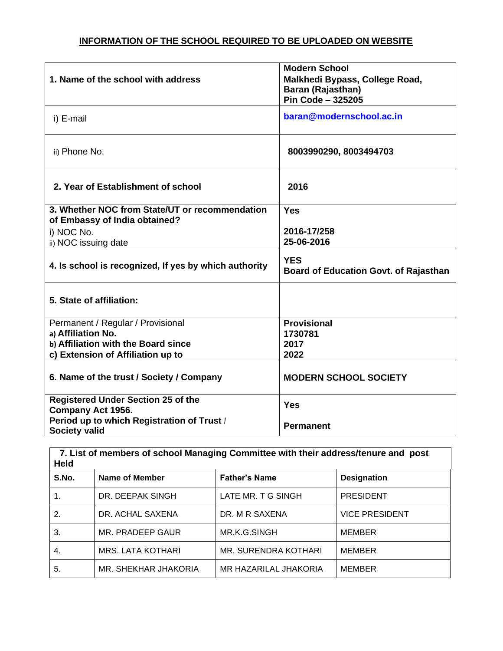## **INFORMATION OF THE SCHOOL REQUIRED TO BE UPLOADED ON WEBSITE**

| 1. Name of the school with address                                              | <b>Modern School</b><br>Malkhedi Bypass, College Road,<br><b>Baran (Rajasthan)</b><br>Pin Code - 325205 |
|---------------------------------------------------------------------------------|---------------------------------------------------------------------------------------------------------|
| i) E-mail                                                                       | baran@modernschool.ac.in                                                                                |
| ii) Phone No.                                                                   | 8003990290, 8003494703                                                                                  |
| 2. Year of Establishment of school                                              | 2016                                                                                                    |
| 3. Whether NOC from State/UT or recommendation<br>of Embassy of India obtained? | <b>Yes</b>                                                                                              |
| i) NOC No.<br>ii) NOC issuing date                                              | 2016-17/258<br>25-06-2016                                                                               |
| 4. Is school is recognized, If yes by which authority                           | <b>YES</b><br><b>Board of Education Govt. of Rajasthan</b>                                              |
| 5. State of affiliation:                                                        |                                                                                                         |
| Permanent / Regular / Provisional                                               | <b>Provisional</b>                                                                                      |
| a) Affiliation No.                                                              | 1730781                                                                                                 |
| b) Affiliation with the Board since                                             | 2017                                                                                                    |
| c) Extension of Affiliation up to                                               | 2022                                                                                                    |
| 6. Name of the trust / Society / Company                                        | <b>MODERN SCHOOL SOCIETY</b>                                                                            |
| <b>Registered Under Section 25 of the</b><br>Company Act 1956.                  | <b>Yes</b>                                                                                              |
| Period up to which Registration of Trust /<br><b>Society valid</b>              | <b>Permanent</b>                                                                                        |

| 7. List of members of school Managing Committee with their address/tenure and post<br><b>Held</b> |                          |                       |                       |
|---------------------------------------------------------------------------------------------------|--------------------------|-----------------------|-----------------------|
| S.No.                                                                                             | Name of Member           | <b>Father's Name</b>  | <b>Designation</b>    |
| 1.                                                                                                | DR. DEEPAK SINGH         | LATE MR. T G SINGH    | <b>PRESIDENT</b>      |
| 2.                                                                                                | DR. ACHAL SAXENA         | DR. M R SAXENA        | <b>VICE PRESIDENT</b> |
| 3.                                                                                                | MR. PRADEEP GAUR         | MR.K.G.SINGH          | <b>MEMBER</b>         |
| 4.                                                                                                | <b>MRS. LATA KOTHARI</b> | MR. SURENDRA KOTHARI  | <b>MEMBER</b>         |
| 5.                                                                                                | MR. SHEKHAR JHAKORIA     | MR HAZARILAL JHAKORIA | <b>MEMBER</b>         |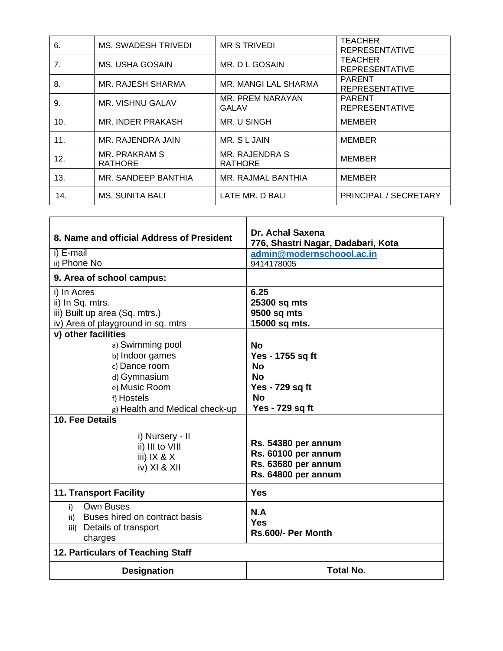| 6.             | <b>MS. SWADESH TRIVEDI</b>      | <b>MR S TRIVEDI</b>                     | <b>TEACHER</b><br><b>REPRESENTATIVE</b> |
|----------------|---------------------------------|-----------------------------------------|-----------------------------------------|
| 7 <sub>1</sub> | <b>MS. USHA GOSAIN</b>          | MR. D L GOSAIN                          | <b>TEACHER</b><br><b>REPRESENTATIVE</b> |
| 8.             | MR. RAJESH SHARMA               | MR. MANGI LAL SHARMA                    | <b>PARENT</b><br><b>REPRESENTATIVE</b>  |
| 9.             | MR. VISHNU GALAV                | MR. PREM NARAYAN<br><b>GALAV</b>        | <b>PARENT</b><br><b>REPRESENTATIVE</b>  |
| 10.            | MR. INDER PRAKASH               | MR. U SINGH                             | <b>MEMBER</b>                           |
| 11.            | MR. RAJENDRA JAIN               | MR. S L JAIN                            | <b>MEMBER</b>                           |
| 12.            | MR. PRAKRAM S<br><b>RATHORE</b> | <b>MR. RAJENDRA S</b><br><b>RATHORE</b> | <b>MEMBER</b>                           |
| 13.            | MR. SANDEEP BANTHIA             | MR. RAJMAL BANTHIA                      | <b>MEMBER</b>                           |
| 14.            | <b>MS. SUNITA BALI</b>          | LATE MR. D BALI                         | PRINCIPAL / SECRETARY                   |

<u> 1989 - Johann Stein, marwolaethau a bhannaich an chomhair an chomhair an chomhair an chomhair an chomhair an</u>

٦

| 8. Name and official Address of President                                                                                                                                                                                                              | Dr. Achal Saxena<br>776, Shastri Nagar, Dadabari, Kota                                                                                                                                   |
|--------------------------------------------------------------------------------------------------------------------------------------------------------------------------------------------------------------------------------------------------------|------------------------------------------------------------------------------------------------------------------------------------------------------------------------------------------|
| i) E-mail<br>ii) Phone No                                                                                                                                                                                                                              | admin@modernschoool.ac.in<br>9414178005                                                                                                                                                  |
| 9. Area of school campus:                                                                                                                                                                                                                              |                                                                                                                                                                                          |
| i) In Acres<br>ii) In Sq. mtrs.<br>iii) Built up area (Sq. mtrs.)<br>iv) Area of playground in sq. mtrs                                                                                                                                                | 6.25<br>25300 sq mts<br>9500 sq mts<br>15000 sq mts.                                                                                                                                     |
| v) other facilities<br>a) Swimming pool<br>b) Indoor games<br>c) Dance room<br>d) Gymnasium<br>e) Music Room<br>f) Hostels<br>g) Health and Medical check-up<br>10. Fee Details<br>i) Nursery - II<br>ii) III to VIII<br>iii) $IX & X$<br>iv) XI & XII | <b>No</b><br>Yes - 1755 sq ft<br>Nο<br><b>No</b><br>Yes - 729 sq ft<br>No<br>Yes - 729 sq ft<br>Rs. 54380 per annum<br>Rs. 60100 per annum<br>Rs. 63680 per annum<br>Rs. 64800 per annum |
| <b>11. Transport Facility</b>                                                                                                                                                                                                                          | <b>Yes</b>                                                                                                                                                                               |
| <b>Own Buses</b><br>i)<br>ii) Buses hired on contract basis<br>iii) Details of transport<br>charges                                                                                                                                                    | N.A<br>Yes<br>Rs.600/- Per Month                                                                                                                                                         |
| 12. Particulars of Teaching Staff                                                                                                                                                                                                                      |                                                                                                                                                                                          |
| <b>Designation</b>                                                                                                                                                                                                                                     | <b>Total No.</b>                                                                                                                                                                         |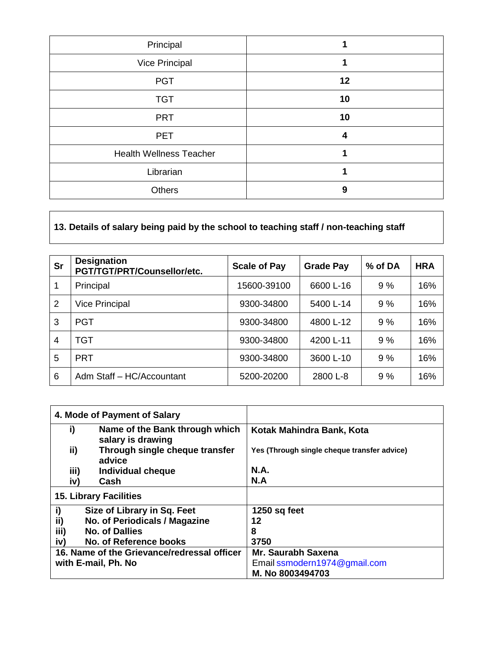| Principal                      |    |
|--------------------------------|----|
| Vice Principal                 |    |
| <b>PGT</b>                     | 12 |
| <b>TGT</b>                     | 10 |
| <b>PRT</b>                     | 10 |
| <b>PET</b>                     | 4  |
| <b>Health Wellness Teacher</b> |    |
| Librarian                      |    |
| <b>Others</b>                  | 9  |

## **13. Details of salary being paid by the school to teaching staff / non-teaching staff**

| <b>Sr</b>      | <b>Designation</b><br>PGT/TGT/PRT/Counsellor/etc. | <b>Scale of Pay</b> | <b>Grade Pay</b> | $%$ of DA | <b>HRA</b> |
|----------------|---------------------------------------------------|---------------------|------------------|-----------|------------|
|                | Principal                                         | 15600-39100         | 6600 L-16        | 9%        | 16%        |
| 2              | <b>Vice Principal</b>                             | 9300-34800          | 5400 L-14        | 9%        | 16%        |
| 3              | <b>PGT</b>                                        | 9300-34800          | 4800 L-12        | 9%        | 16%        |
| $\overline{4}$ | TGT                                               | 9300-34800          | 4200 L-11        | 9%        | 16%        |
| 5              | <b>PRT</b>                                        | 9300-34800          | 3600 L-10        | 9%        | 16%        |
| 6              | Adm Staff - HC/Accountant                         | 5200-20200          | 2800 L-8         | 9%        | 16%        |

|      | 4. Mode of Payment of Salary                        |                                             |
|------|-----------------------------------------------------|---------------------------------------------|
| i)   | Name of the Bank through which<br>salary is drawing | Kotak Mahindra Bank, Kota                   |
| ii)  | Through single cheque transfer<br>advice            | Yes (Through single cheque transfer advice) |
| iii) | <b>Individual cheque</b>                            | <b>N.A.</b>                                 |
| iv)  | Cash                                                | N.A                                         |
|      | <b>15. Library Facilities</b>                       |                                             |
| i)   | Size of Library in Sq. Feet                         | 1250 sq feet                                |
| ii)  | No. of Periodicals / Magazine                       | 12                                          |
| iii) | <b>No. of Dallies</b>                               | 8                                           |
| iv)  | <b>No. of Reference books</b>                       | 3750                                        |
|      | 16. Name of the Grievance/redressal officer         | Mr. Saurabh Saxena                          |
|      | with E-mail, Ph. No                                 | Email ssmodern1974@gmail.com                |
|      |                                                     | M. No 8003494703                            |